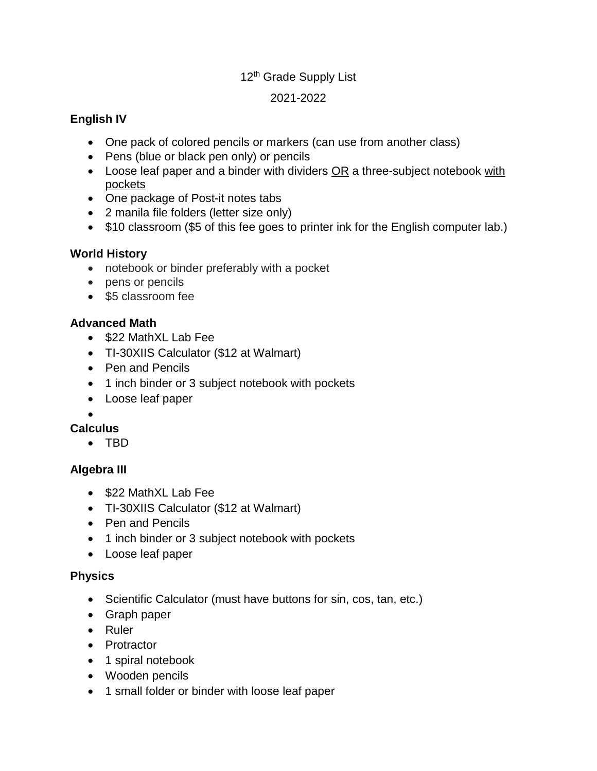#### 12<sup>th</sup> Grade Supply List

#### 2021-2022

### **English IV**

- One pack of colored pencils or markers (can use from another class)
- Pens (blue or black pen only) or pencils
- $\bullet$  Loose leaf paper and a binder with dividers  $OR$  a three-subject notebook with pockets
- One package of Post-it notes tabs
- 2 manila file folders (letter size only)
- \$10 classroom (\$5 of this fee goes to printer ink for the English computer lab.)

### **World History**

- notebook or binder preferably with a pocket
- pens or pencils
- \$5 classroom fee

### **Advanced Math**

- \$22 MathXL Lab Fee
- TI-30XIIS Calculator (\$12 at Walmart)
- Pen and Pencils
- 1 inch binder or 3 subject notebook with pockets
- Loose leaf paper

#### $\bullet$

## **Calculus**

• TRD

## **Algebra III**

- \$22 MathXL Lab Fee
- TI-30XIIS Calculator (\$12 at Walmart)
- Pen and Pencils
- 1 inch binder or 3 subject notebook with pockets
- Loose leaf paper

#### **Physics**

- Scientific Calculator (must have buttons for sin, cos, tan, etc.)
- Graph paper
- Ruler
- Protractor
- 1 spiral notebook
- Wooden pencils
- 1 small folder or binder with loose leaf paper